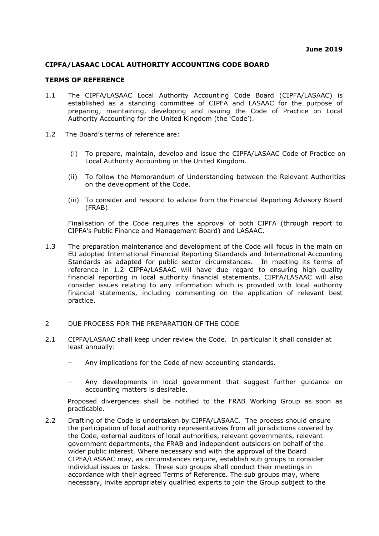## **CIPFA/LASAAC LOCAL AUTHORITY ACCOUNTING CODE BOARD**

## **TERMS OF REFERENCE**

- 1.1 The CIPFA/LASAAC Local Authority Accounting Code Board (CIPFA/LASAAC) is established as a standing committee of CIPFA and LASAAC for the purpose of preparing, maintaining, developing and issuing the Code of Practice on Local Authority Accounting for the United Kingdom (the 'Code').
- 1.2 The Board's terms of reference are:
	- (i) To prepare, maintain, develop and issue the CIPFA/LASAAC Code of Practice on Local Authority Accounting in the United Kingdom.
	- (ii) To follow the Memorandum of Understanding between the Relevant Authorities on the development of the Code.
	- (iii) To consider and respond to advice from the Financial Reporting Advisory Board (FRAB).

Finalisation of the Code requires the approval of both CIPFA (through report to CIPFA's Public Finance and Management Board) and LASAAC.

- 1.3 The preparation maintenance and development of the Code will focus in the main on EU adopted International Financial Reporting Standards and International Accounting Standards as adapted for public sector circumstances. In meeting its terms of reference in 1.2 CIPFA/LASAAC will have due regard to ensuring high quality financial reporting in local authority financial statements. CIPFA/LASAAC will also consider issues relating to any information which is provided with local authority financial statements, including commenting on the application of relevant best practice.
- 2 DUE PROCESS FOR THE PREPARATION OF THE CODE
- 2.1 CIPFA/LASAAC shall keep under review the Code. In particular it shall consider at least annually:
	- Any implications for the Code of new accounting standards.
	- Any developments in local government that suggest further guidance on accounting matters is desirable.

Proposed divergences shall be notified to the FRAB Working Group as soon as practicable.

2.2 Drafting of the Code is undertaken by CIPFA/LASAAC. The process should ensure the participation of local authority representatives from all jurisdictions covered by the Code, external auditors of local authorities, relevant governments, relevant government departments, the FRAB and independent outsiders on behalf of the wider public interest. Where necessary and with the approval of the Board CIPFA/LASAAC may, as circumstances require, establish sub groups to consider individual issues or tasks. These sub groups shall conduct their meetings in accordance with their agreed Terms of Reference. The sub groups may, where necessary, invite appropriately qualified experts to join the Group subject to the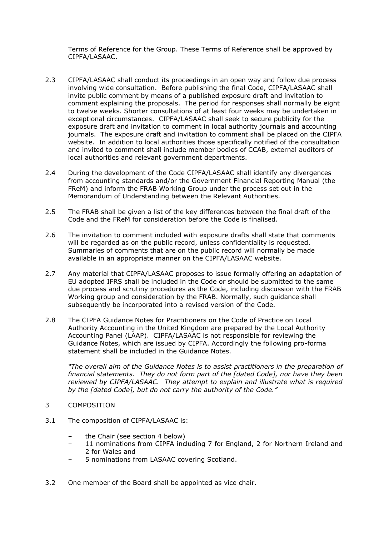Terms of Reference for the Group. These Terms of Reference shall be approved by CIPFA/LASAAC.

- 2.3 CIPFA/LASAAC shall conduct its proceedings in an open way and follow due process involving wide consultation. Before publishing the final Code, CIPFA/LASAAC shall invite public comment by means of a published exposure draft and invitation to comment explaining the proposals. The period for responses shall normally be eight to twelve weeks. Shorter consultations of at least four weeks may be undertaken in exceptional circumstances. CIPFA/LASAAC shall seek to secure publicity for the exposure draft and invitation to comment in local authority journals and accounting journals. The exposure draft and invitation to comment shall be placed on the CIPFA website. In addition to local authorities those specifically notified of the consultation and invited to comment shall include member bodies of CCAB, external auditors of local authorities and relevant government departments.
- 2.4 During the development of the Code CIPFA/LASAAC shall identify any divergences from accounting standards and/or the Government Financial Reporting Manual (the FReM) and inform the FRAB Working Group under the process set out in the Memorandum of Understanding between the Relevant Authorities.
- 2.5 The FRAB shall be given a list of the key differences between the final draft of the Code and the FReM for consideration before the Code is finalised.
- 2.6 The invitation to comment included with exposure drafts shall state that comments will be regarded as on the public record, unless confidentiality is requested. Summaries of comments that are on the public record will normally be made available in an appropriate manner on the CIPFA/LASAAC website.
- 2.7 Any material that CIPFA/LASAAC proposes to issue formally offering an adaptation of EU adopted IFRS shall be included in the Code or should be submitted to the same due process and scrutiny procedures as the Code, including discussion with the FRAB Working group and consideration by the FRAB. Normally, such guidance shall subsequently be incorporated into a revised version of the Code.
- 2.8 The CIPFA Guidance Notes for Practitioners on the Code of Practice on Local Authority Accounting in the United Kingdom are prepared by the Local Authority Accounting Panel (LAAP). CIPFA/LASAAC is not responsible for reviewing the Guidance Notes, which are issued by CIPFA. Accordingly the following pro-forma statement shall be included in the Guidance Notes.

*"The overall aim of the Guidance Notes is to assist practitioners in the preparation of financial statements. They do not form part of the [dated Code], nor have they been reviewed by CIPFA/LASAAC. They attempt to explain and illustrate what is required by the [dated Code], but do not carry the authority of the Code."*

- 3 COMPOSITION
- 3.1 The composition of CIPFA/LASAAC is:
	- the Chair (see section 4 below)
	- 11 nominations from CIPFA including 7 for England, 2 for Northern Ireland and 2 for Wales and
	- 5 nominations from LASAAC covering Scotland.
- 3.2 One member of the Board shall be appointed as vice chair.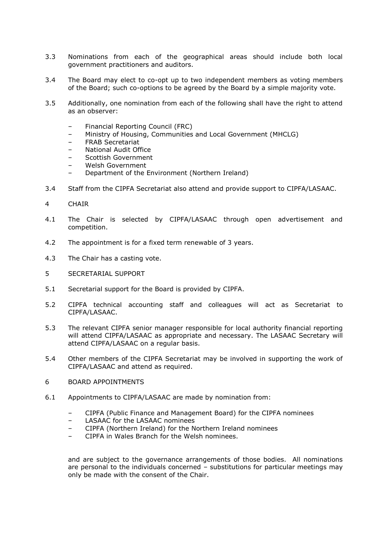- 3.3 Nominations from each of the geographical areas should include both local government practitioners and auditors.
- 3.4 The Board may elect to co-opt up to two independent members as voting members of the Board; such co-options to be agreed by the Board by a simple majority vote.
- 3.5 Additionally, one nomination from each of the following shall have the right to attend as an observer:
	- Financial Reporting Council (FRC)
	- Ministry of Housing, Communities and Local Government (MHCLG)
	- FRAB Secretariat
	- National Audit Office
	- Scottish Government
	- Welsh Government
	- Department of the Environment (Northern Ireland)
- 3.4 Staff from the CIPFA Secretariat also attend and provide support to CIPFA/LASAAC.
- 4 CHAIR
- 4.1 The Chair is selected by CIPFA/LASAAC through open advertisement and competition.
- 4.2 The appointment is for a fixed term renewable of 3 years.
- 4.3 The Chair has a casting vote.
- 5 SECRETARIAL SUPPORT
- 5.1 Secretarial support for the Board is provided by CIPFA.
- 5.2 CIPFA technical accounting staff and colleagues will act as Secretariat to CIPFA/LASAAC.
- 5.3 The relevant CIPFA senior manager responsible for local authority financial reporting will attend CIPFA/LASAAC as appropriate and necessary. The LASAAC Secretary will attend CIPFA/LASAAC on a regular basis.
- 5.4 Other members of the CIPFA Secretariat may be involved in supporting the work of CIPFA/LASAAC and attend as required.
- 6 BOARD APPOINTMENTS
- 6.1 Appointments to CIPFA/LASAAC are made by nomination from:
	- CIPFA (Public Finance and Management Board) for the CIPFA nominees
	- LASAAC for the LASAAC nominees
	- CIPFA (Northern Ireland) for the Northern Ireland nominees
	- CIPFA in Wales Branch for the Welsh nominees.

and are subject to the governance arrangements of those bodies. All nominations are personal to the individuals concerned – substitutions for particular meetings may only be made with the consent of the Chair.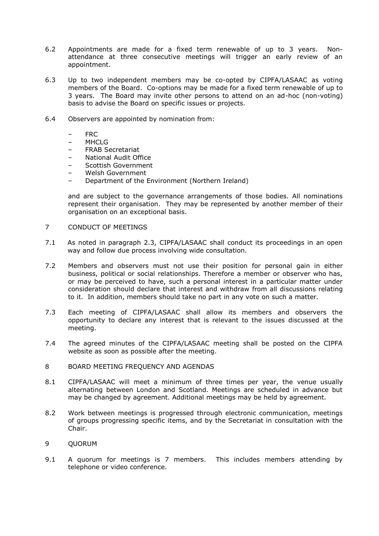- 6.2 Appointments are made for a fixed term renewable of up to 3 years. Nonattendance at three consecutive meetings will trigger an early review of an appointment.
- 6.3 Up to two independent members may be co-opted by CIPFA/LASAAC as voting members of the Board. Co-options may be made for a fixed term renewable of up to 3 years. The Board may invite other persons to attend on an ad-hoc (non-voting) basis to advise the Board on specific issues or projects.
- 6.4 Observers are appointed by nomination from:
	- FRC
	- MHCLG
	- FRAB Secretariat
	- National Audit Office
	- Scottish Government
	- Welsh Government
	- Department of the Environment (Northern Ireland)

and are subject to the governance arrangements of those bodies. All nominations represent their organisation. They may be represented by another member of their organisation on an exceptional basis.

- 7 CONDUCT OF MEETINGS
- 7.1 As noted in paragraph 2.3, CIPFA/LASAAC shall conduct its proceedings in an open way and follow due process involving wide consultation.
- 7.2 Members and observers must not use their position for personal gain in either business, political or social relationships. Therefore a member or observer who has, or may be perceived to have, such a personal interest in a particular matter under consideration should declare that interest and withdraw from all discussions relating to it. In addition, members should take no part in any vote on such a matter.
- 7.3 Each meeting of CIPFA/LASAAC shall allow its members and observers the opportunity to declare any interest that is relevant to the issues discussed at the meeting.
- 7.4 The agreed minutes of the CIPFA/LASAAC meeting shall be posted on the CIPFA website as soon as possible after the meeting.
- 8 BOARD MEETING FREQUENCY AND AGENDAS
- 8.1 CIPFA/LASAAC will meet a minimum of three times per year, the venue usually alternating between London and Scotland. Meetings are scheduled in advance but may be changed by agreement. Additional meetings may be held by agreement.
- 8.2 Work between meetings is progressed through electronic communication, meetings of groups progressing specific items, and by the Secretariat in consultation with the Chair.
- 9 QUORUM
- 9.1 A quorum for meetings is 7 members. This includes members attending by telephone or video conference.